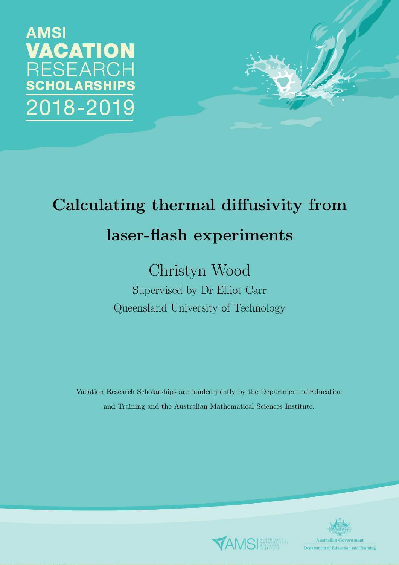**AMSI** VACATION RESEARCH **CHOLARSHIPS** 018-2019



# Calculating thermal diffusivity from laser-flash experiments

## Christyn Wood

Supervised by Dr Elliot Carr Queensland University of Technology

Vacation Research Scholarships are funded jointly by the Department of Education and Training and the Australian Mathematical Sciences Institute.



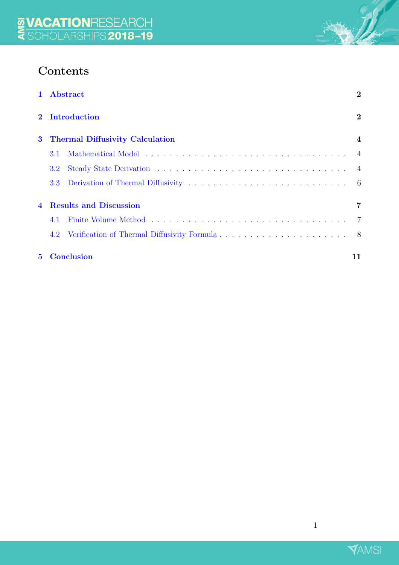## Contents

| $\mathbf{1}$                  | Abstract                               | $\overline{2}$ |  |  |  |  |  |  |  |  |
|-------------------------------|----------------------------------------|----------------|--|--|--|--|--|--|--|--|
|                               | <b>Introduction</b>                    |                |  |  |  |  |  |  |  |  |
| $\bf{3}$                      | <b>Thermal Diffusivity Calculation</b> |                |  |  |  |  |  |  |  |  |
|                               | 3.1                                    |                |  |  |  |  |  |  |  |  |
|                               | $3.2^{\circ}$                          |                |  |  |  |  |  |  |  |  |
|                               | 3.3 <sub>1</sub>                       | -6             |  |  |  |  |  |  |  |  |
| <b>Results and Discussion</b> |                                        |                |  |  |  |  |  |  |  |  |
|                               | 4.1                                    |                |  |  |  |  |  |  |  |  |
|                               | 4.2                                    | - 8            |  |  |  |  |  |  |  |  |
| $5^{\circ}$                   | <b>Conclusion</b><br>11                |                |  |  |  |  |  |  |  |  |

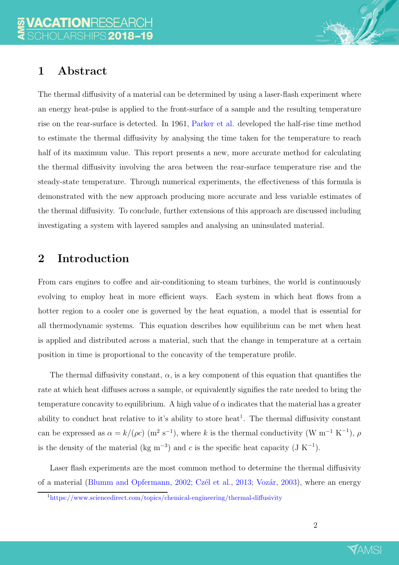## <span id="page-2-0"></span>1 Abstract

The thermal diffusivity of a material can be determined by using a laser-flash experiment where an energy heat-pulse is applied to the front-surface of a sample and the resulting temperature rise on the rear-surface is detected. In 1961, [Parker et al.](#page-12-0) developed the half-rise time method to estimate the thermal diffusivity by analysing the time taken for the temperature to reach half of its maximum value. This report presents a new, more accurate method for calculating the thermal diffusivity involving the area between the rear-surface temperature rise and the steady-state temperature. Through numerical experiments, the effectiveness of this formula is demonstrated with the new approach producing more accurate and less variable estimates of the thermal diffusivity. To conclude, further extensions of this approach are discussed including investigating a system with layered samples and analysing an uninsulated material.

## <span id="page-2-1"></span>2 Introduction

From cars engines to coffee and air-conditioning to steam turbines, the world is continuously evolving to employ heat in more efficient ways. Each system in which heat flows from a hotter region to a cooler one is governed by the heat equation, a model that is essential for all thermodynamic systems. This equation describes how equilibrium can be met when heat is applied and distributed across a material, such that the change in temperature at a certain position in time is proportional to the concavity of the temperature profile.

The thermal diffusivity constant,  $\alpha$ , is a key component of this equation that quantifies the rate at which heat diffuses across a sample, or equivalently signifies the rate needed to bring the temperature concavity to equilibrium. A high value of  $\alpha$  indicates that the material has a greater ability to conduct heat relative to it's ability to store heat<sup>[1](#page-2-2)</sup>. The thermal diffusivity constant can be expressed as  $\alpha = k/(\rho c)$  (m<sup>2</sup> s<sup>-1</sup>), where k is the thermal conductivity (W m<sup>-1</sup> K<sup>-1</sup>),  $\rho$ is the density of the material (kg m<sup>-3</sup>) and c is the specific heat capacity (J K<sup>-1</sup>).

Laser flash experiments are the most common method to determine the thermal diffusivity of a material [\(Blumm and Opfermann](#page-12-1), [2002](#page-12-1); Czél et al., [2013](#page-12-2); Vozár, [2003\)](#page-12-3), where an energy



<span id="page-2-2"></span><sup>1</sup><https://www.sciencedirect.com/topics/chemical-engineering/thermal-diffusivity>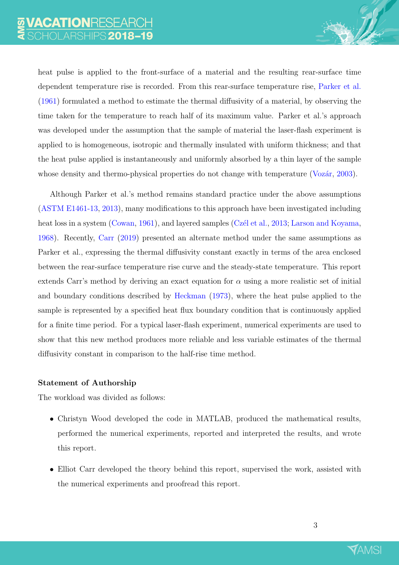heat pulse is applied to the front-surface of a material and the resulting rear-surface time dependent temperature rise is recorded. From this rear-surface temperature rise, [Parker et al.](#page-12-0) [\(1961\)](#page-12-0) formulated a method to estimate the thermal diffusivity of a material, by observing the time taken for the temperature to reach half of its maximum value. Parker et al.'s approach was developed under the assumption that the sample of material the laser-flash experiment is applied to is homogeneous, isotropic and thermally insulated with uniform thickness; and that the heat pulse applied is instantaneously and uniformly absorbed by a thin layer of the sample whose density and thermo-physical properties do not change with temperature ( $Vozár$ , [2003\)](#page-12-3).

Although Parker et al.'s method remains standard practice under the above assumptions [\(ASTM E1461-13](#page-12-4), [2013\)](#page-12-4), many modifications to this approach have been investigated including heat loss in a system [\(Cowan,](#page-12-5) [1961](#page-12-5)), and layered samples (Czél et al., [2013](#page-12-2); [Larson and Koyama](#page-12-6), [1968](#page-12-6)). Recently, [Carr](#page-12-7) [\(2019](#page-12-7)) presented an alternate method under the same assumptions as Parker et al., expressing the thermal diffusivity constant exactly in terms of the area enclosed between the rear-surface temperature rise curve and the steady-state temperature. This report extends Carr's method by deriving an exact equation for  $\alpha$  using a more realistic set of initial and boundary conditions described by [Heckman](#page-12-8) [\(1973\)](#page-12-8), where the heat pulse applied to the sample is represented by a specified heat flux boundary condition that is continuously applied for a finite time period. For a typical laser-flash experiment, numerical experiments are used to show that this new method produces more reliable and less variable estimates of the thermal diffusivity constant in comparison to the half-rise time method.

#### Statement of Authorship

The workload was divided as follows:

- Christyn Wood developed the code in MATLAB, produced the mathematical results, performed the numerical experiments, reported and interpreted the results, and wrote this report.
- Elliot Carr developed the theory behind this report, supervised the work, assisted with the numerical experiments and proofread this report.

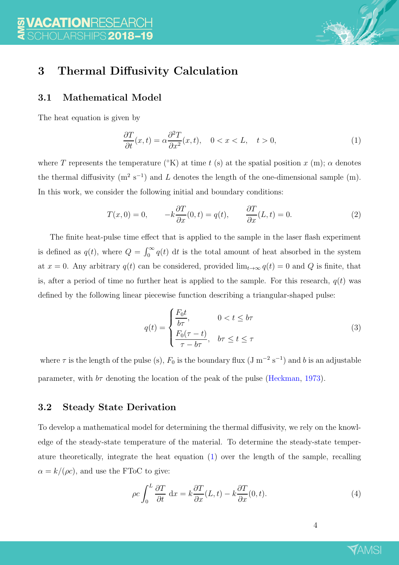<span id="page-4-4"></span>

## <span id="page-4-1"></span><span id="page-4-0"></span>3 Thermal Diffusivity Calculation

#### 3.1 Mathematical Model

The heat equation is given by

<span id="page-4-3"></span>
$$
\frac{\partial T}{\partial t}(x,t) = \alpha \frac{\partial^2 T}{\partial x^2}(x,t), \quad 0 < x < L, \quad t > 0,\tag{1}
$$

where T represents the temperature  $({}^{\circ}K)$  at time t (s) at the spatial position x (m);  $\alpha$  denotes the thermal diffusivity  $(m^2 s^{-1})$  and L denotes the length of the one-dimensional sample  $(m)$ . In this work, we consider the following initial and boundary conditions:

$$
T(x,0) = 0, \qquad -k\frac{\partial T}{\partial x}(0,t) = q(t), \qquad \frac{\partial T}{\partial x}(L,t) = 0.
$$
 (2)

The finite heat-pulse time effect that is applied to the sample in the laser flash experiment is defined as  $q(t)$ , where  $Q = \int_0^\infty q(t) dt$  is the total amount of heat absorbed in the system at  $x = 0$ . Any arbitrary  $q(t)$  can be considered, provided  $\lim_{t\to\infty} q(t) = 0$  and Q is finite, that is, after a period of time no further heat is applied to the sample. For this research,  $q(t)$  was defined by the following linear piecewise function describing a triangular-shaped pulse:

<span id="page-4-6"></span>
$$
q(t) = \begin{cases} \frac{F_0 t}{b\tau}, & 0 < t \le b\tau\\ \frac{F_0(\tau - t)}{\tau - b\tau}, & b\tau \le t \le \tau \end{cases}
$$
(3)

where  $\tau$  is the length of the pulse (s),  $F_0$  is the boundary flux (J m<sup>-2</sup> s<sup>-1</sup>) and b is an adjustable parameter, with  $b\tau$  denoting the location of the peak of the pulse [\(Heckman](#page-12-8), [1973\)](#page-12-8).

#### <span id="page-4-2"></span>3.2 Steady State Derivation

To develop a mathematical model for determining the thermal diffusivity, we rely on the knowledge of the steady-state temperature of the material. To determine the steady-state temperature theoretically, integrate the heat equation [\(1\)](#page-4-3) over the length of the sample, recalling  $\alpha = k/(\rho c)$ , and use the FToC to give:

<span id="page-4-5"></span>
$$
\rho c \int_0^L \frac{\partial T}{\partial t} dx = k \frac{\partial T}{\partial x}(L, t) - k \frac{\partial T}{\partial x}(0, t).
$$
\n(4)

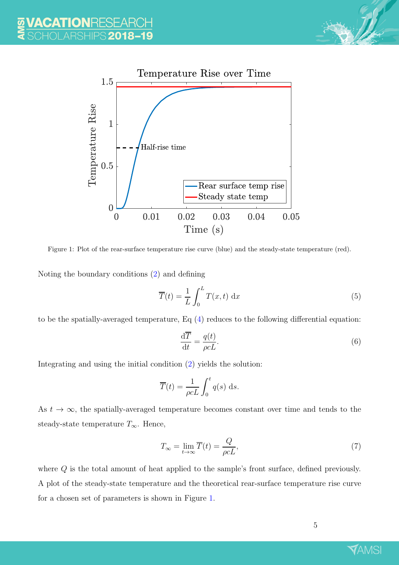

<span id="page-5-0"></span>

Figure 1: Plot of the rear-surface temperature rise curve (blue) and the steady-state temperature (red).

Noting the boundary conditions [\(2\)](#page-4-4) and defining

<span id="page-5-2"></span>
$$
\overline{T}(t) = \frac{1}{L} \int_0^L T(x, t) \, \mathrm{d}x \tag{5}
$$

to be the spatially-averaged temperature, Eq [\(4\)](#page-4-5) reduces to the following differential equation:

$$
\frac{\mathrm{d}\overline{T}}{\mathrm{d}t} = \frac{q(t)}{\rho cL}.\tag{6}
$$

Integrating and using the initial condition [\(2\)](#page-4-4) yields the solution:

$$
\overline{T}(t) = \frac{1}{\rho cL} \int_0^t q(s) \, \mathrm{d}s.
$$

As  $t \to \infty$ , the spatially-averaged temperature becomes constant over time and tends to the steady-state temperature  $T_{\infty}$ . Hence,

<span id="page-5-1"></span>
$$
T_{\infty} = \lim_{t \to \infty} \overline{T}(t) = \frac{Q}{\rho c L},\tag{7}
$$

where Q is the total amount of heat applied to the sample's front surface, defined previously. A plot of the steady-state temperature and the theoretical rear-surface temperature rise curve for a chosen set of parameters is shown in Figure [1.](#page-5-0)

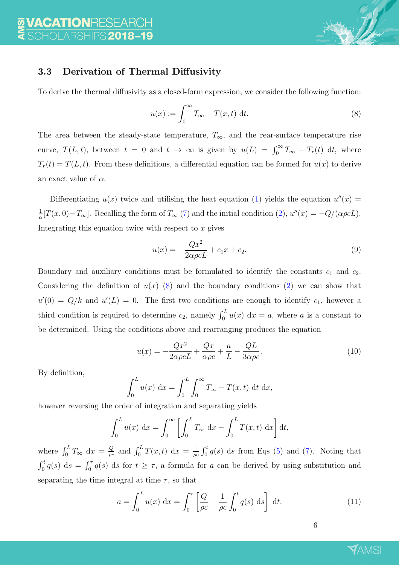

#### <span id="page-6-0"></span>3.3 Derivation of Thermal Diffusivity

To derive the thermal diffusivity as a closed-form expression, we consider the following function:

<span id="page-6-1"></span>
$$
u(x) := \int_0^\infty T_\infty - T(x, t) \, \mathrm{d}t. \tag{8}
$$

The area between the steady-state temperature,  $T_{\infty}$ , and the rear-surface temperature rise curve,  $T(L, t)$ , between  $t = 0$  and  $t \to \infty$  is given by  $u(L) = \int_0^\infty T_{\infty} - T_r(t) dt$ , where  $T_r(t) = T(L, t)$ . From these definitions, a differential equation can be formed for  $u(x)$  to derive an exact value of  $\alpha$ .

Differentiating  $u(x)$  twice and utilising the heat equation [\(1\)](#page-4-3) yields the equation  $u''(x) =$ 1  $\frac{1}{\alpha}[T(x,0)-T_{\infty}]$ . Recalling the form of  $T_{\infty}(7)$  $T_{\infty}(7)$  and the initial condition  $(2)$ ,  $u''(x) = -Q/(\alpha \rho cL)$ . Integrating this equation twice with respect to  $x$  gives

$$
u(x) = -\frac{Qx^2}{2\alpha \rho cL} + c_1 x + c_2.
$$
\n(9)

Boundary and auxiliary conditions must be formulated to identify the constants  $c_1$  and  $c_2$ . Considering the definition of  $u(x)$  [\(8\)](#page-6-1) and the boundary conditions [\(2\)](#page-4-4) we can show that  $u'(0) = Q/k$  and  $u'(L) = 0$ . The first two conditions are enough to identify  $c_1$ , however a third condition is required to determine  $c_2$ , namely  $\int_0^L u(x) dx = a$ , where a is a constant to be determined. Using the conditions above and rearranging produces the equation

<span id="page-6-2"></span>
$$
u(x) = -\frac{Qx^2}{2\alpha\rho cL} + \frac{Qx}{\alpha\rho c} + \frac{a}{L} - \frac{QL}{3\alpha\rho c}.
$$
\n(10)

By definition,

$$
\int_0^L u(x) dx = \int_0^L \int_0^\infty T_\infty - T(x, t) dt dx,
$$

however reversing the order of integration and separating yields

$$
\int_0^L u(x) dx = \int_0^\infty \left[ \int_0^L T_\infty dx - \int_0^L T(x, t) dx \right] dt,
$$

where  $\int_0^L T_{\infty} dx = \frac{Q}{\rho c}$  $\frac{Q}{\rho c}$  and  $\int_0^L T(x,t) dx = \frac{1}{\rho c}$  $\frac{1}{\rho c} \int_0^t q(s) \, ds$  from Eqs [\(5\)](#page-5-2) and [\(7\)](#page-5-1). Noting that  $\int_0^t q(s) ds = \int_0^{\tau} q(s) ds$  for  $t \geq \tau$ , a formula for a can be derived by using substitution and separating the time integral at time  $\tau$ , so that

<span id="page-6-3"></span>
$$
a = \int_0^L u(x) dx = \int_0^\tau \left[ \frac{Q}{\rho c} - \frac{1}{\rho c} \int_0^t q(s) ds \right] dt.
$$
 (11)

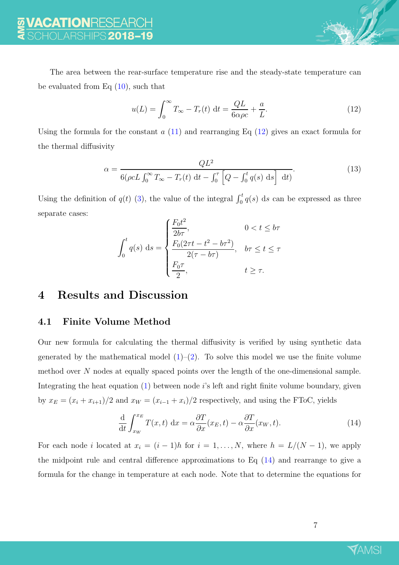The area between the rear-surface temperature rise and the steady-state temperature can be evaluated from Eq  $(10)$ , such that

<span id="page-7-2"></span>
$$
u(L) = \int_0^\infty T_\infty - T_r(t) \, \mathrm{d}t = \frac{QL}{6\alpha\rho c} + \frac{a}{L}.\tag{12}
$$

Using the formula for the constant  $a(11)$  $a(11)$  and rearranging Eq  $(12)$  gives an exact formula for the thermal diffusivity

<span id="page-7-4"></span>
$$
\alpha = \frac{QL^2}{6(\rho c L \int_0^\infty T_\infty - T_r(t) dt - \int_0^\tau \left[ Q - \int_0^t q(s) ds \right] dt}.
$$
\n(13)

Using the definition of  $q(t)$  [\(3\)](#page-4-6), the value of the integral  $\int_0^t q(s) ds$  can be expressed as three separate cases:

$$
\int_0^t q(s) \, ds = \begin{cases} \frac{F_0 t^2}{2b\tau}, & 0 < t \le b\tau \\ \frac{F_0(2\tau t - t^2 - b\tau^2)}{2(\tau - b\tau)}, & b\tau \le t \le \tau \\ \frac{F_0 \tau}{2}, & t \ge \tau. \end{cases}
$$

#### <span id="page-7-1"></span><span id="page-7-0"></span>4 Results and Discussion

#### 4.1 Finite Volume Method

Our new formula for calculating the thermal diffusivity is verified by using synthetic data generated by the mathematical model  $(1)$ – $(2)$ . To solve this model we use the finite volume method over N nodes at equally spaced points over the length of the one-dimensional sample. Integrating the heat equation  $(1)$  between node is left and right finite volume boundary, given by  $x_E = (x_i + x_{i+1})/2$  and  $x_W = (x_{i-1} + x_i)/2$  respectively, and using the FToC, yields

<span id="page-7-3"></span>
$$
\frac{\mathrm{d}}{\mathrm{d}t} \int_{x_W}^{x_E} T(x,t) \, \mathrm{d}x = \alpha \frac{\partial T}{\partial x}(x_E, t) - \alpha \frac{\partial T}{\partial x}(x_W, t). \tag{14}
$$

For each node i located at  $x_i = (i - 1)h$  for  $i = 1, ..., N$ , where  $h = L/(N - 1)$ , we apply the midpoint rule and central difference approximations to Eq  $(14)$  and rearrange to give a formula for the change in temperature at each node. Note that to determine the equations for

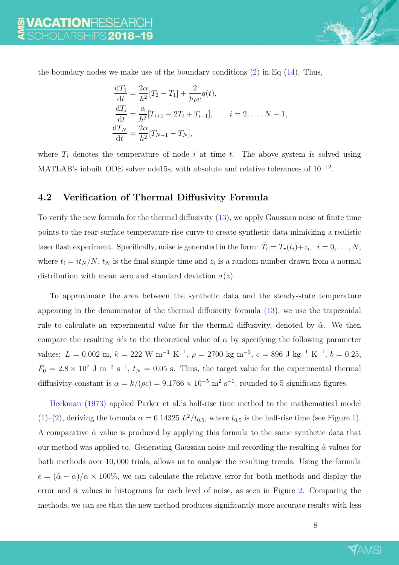

the boundary nodes we make use of the boundary conditions  $(2)$  in Eq  $(14)$ . Thus,

$$
\frac{dT_1}{dt} = \frac{2\alpha}{h^2} [T_2 - T_1] + \frac{2}{h\rho c} q(t),
$$
  
\n
$$
\frac{dT_i}{dt} = \frac{\alpha}{h^2} [T_{i+1} - 2T_i + T_{i-1}], \qquad i = 2, ..., N - 1,
$$
  
\n
$$
\frac{dT_N}{dt} = \frac{2\alpha}{h^2} [T_{N-1} - T_N],
$$

<span id="page-8-0"></span>where  $T_i$  denotes the temperature of node i at time t. The above system is solved using MATLAB's inbuilt ODE solver ode15s, with absolute and relative tolerances of  $10^{-12}$ .

#### 4.2 Verification of Thermal Diffusivity Formula

To verify the new formula for the thermal diffusivity [\(13\)](#page-7-4), we apply Gaussian noise at finite time points to the rear-surface temperature rise curve to create synthetic data mimicking a realistic laser flash experiment. Specifically, noise is generated in the form:  $\tilde{T}_i = T_r(t_i) + z_i$ ,  $i = 0, \ldots, N$ , where  $t_i = it_N/N$ ,  $t_N$  is the final sample time and  $z_i$  is a random number drawn from a normal distribution with mean zero and standard deviation  $\sigma(z)$ .

To approximate the area between the synthetic data and the steady-state temperature appearing in the denominator of the thermal diffusivity formula [\(13\)](#page-7-4), we use the trapezoidal rule to calculate an experimental value for the thermal diffusivity, denoted by  $\tilde{\alpha}$ . We then compare the resulting  $\tilde{\alpha}$ 's to the theoretical value of  $\alpha$  by specifying the following parameter values:  $L = 0.002$  m,  $k = 222$  W m<sup>-1</sup> K<sup>-1</sup>,  $\rho = 2700$  kg m<sup>-3</sup>,  $c = 896$  J kg<sup>-1</sup> K<sup>-1</sup>,  $b = 0.25$ ,  $F_0 = 2.8 \times 10^7$  J m<sup>-2</sup> s<sup>-1</sup>,  $t_N = 0.05$  s. Thus, the target value for the experimental thermal diffusivity constant is  $\alpha = k/(\rho c) = 9.1766 \times 10^{-5}$  m<sup>2</sup> s<sup>-1</sup>, rounded to 5 significant figures.

Heckman [\(1973](#page-12-8)) applied Parker et al.'s half-rise time method to the mathematical model [\(1\)](#page-4-3)–[\(2\)](#page-4-4), deriving the formula  $\alpha = 0.14325 L^2/t_{0.5}$ , where  $t_{0.5}$  is the half-rise time (see Figure [1\)](#page-5-0). A comparative  $\tilde{\alpha}$  value is produced by applying this formula to the same synthetic data that our method was applied to. Generating Gaussian noise and recording the resulting  $\tilde{\alpha}$  values for both methods over 10, 000 trials, allows us to analyse the resulting trends. Using the formula  $\epsilon = (\tilde{\alpha} - \alpha)/\alpha \times 100\%$ , we can calculate the relative error for both methods and display the error and  $\tilde{\alpha}$  values in histograms for each level of noise, as seen in Figure [2.](#page-10-0) Comparing the methods, we can see that the new method produces significantly more accurate results with less

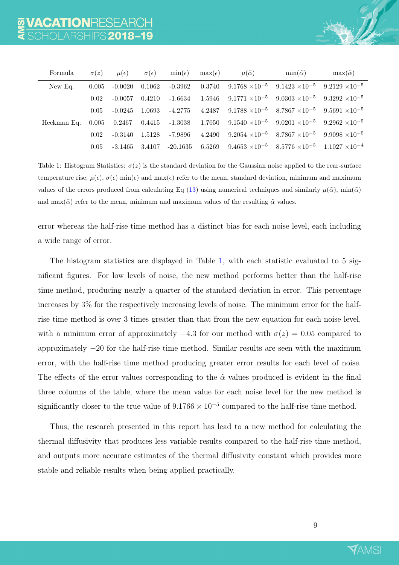<span id="page-9-0"></span>

| Formula | $\sigma(z)$ | $\mu(\epsilon)$ | $\sigma(\epsilon)$ | $\min(\epsilon)$ $\max(\epsilon)$ | $\mu(\tilde{\alpha})$                                                                                                            | $\min(\tilde{\alpha})$ | $\max(\tilde{\alpha})$ |
|---------|-------------|-----------------|--------------------|-----------------------------------|----------------------------------------------------------------------------------------------------------------------------------|------------------------|------------------------|
| New Eq. | 0.005       |                 |                    |                                   | $-0.0020$ $0.1062$ $-0.3962$ $0.3740$ $9.1768 \times 10^{-5}$ $9.1423 \times 10^{-5}$ $9.2129 \times 10^{-5}$                    |                        |                        |
|         | 0.02        |                 |                    | $-0.0057$ $0.4210$ $-1.6634$      | $1.5946$ $9.1771 \times 10^{-5}$ $9.0303 \times 10^{-5}$ $9.3292 \times 10^{-5}$                                                 |                        |                        |
|         | 0.05        |                 |                    |                                   | $-0.0245$ 1.0693 $-4.2775$ 4.2487 $9.1788 \times 10^{-5}$ 8.7867 $\times 10^{-5}$ 9.5691 $\times 10^{-5}$                        |                        |                        |
|         |             |                 |                    |                                   | Heckman Eq. $0.005$ $0.2467$ $0.4415$ $-1.3038$ $1.7050$ $9.1540 \times 10^{-5}$ $9.0201 \times 10^{-5}$ $9.2962 \times 10^{-5}$ |                        |                        |
|         | 0.02        |                 |                    | $-0.3140$ $1.5128$ $-7.9896$      | 4.2490 9.2054 $\times 10^{-5}$ 8.7867 $\times 10^{-5}$ 9.9098 $\times 10^{-5}$                                                   |                        |                        |
|         | 0.05        |                 |                    |                                   | $-3.1465$ $3.4107$ $-20.1635$ $6.5269$ $9.4653 \times 10^{-5}$ $8.5776 \times 10^{-5}$ $1.1027 \times 10^{-4}$                   |                        |                        |

Table 1: Histogram Statistics:  $\sigma(z)$  is the standard deviation for the Gaussian noise applied to the rear-surface temperature rise;  $\mu(\epsilon)$ ,  $\sigma(\epsilon)$  min $(\epsilon)$  and max $(\epsilon)$  refer to the mean, standard deviation, minimum and maximum values of the errors produced from calculating Eq [\(13\)](#page-7-4) using numerical techniques and similarly  $\mu(\tilde{\alpha})$ , min $(\tilde{\alpha})$ and max( $\tilde{\alpha}$ ) refer to the mean, minimum and maximum values of the resulting  $\tilde{\alpha}$  values.

error whereas the half-rise time method has a distinct bias for each noise level, each including a wide range of error.

The histogram statistics are displayed in Table [1,](#page-9-0) with each statistic evaluated to 5 significant figures. For low levels of noise, the new method performs better than the half-rise time method, producing nearly a quarter of the standard deviation in error. This percentage increases by 3% for the respectively increasing levels of noise. The minimum error for the halfrise time method is over 3 times greater than that from the new equation for each noise level, with a minimum error of approximately  $-4.3$  for our method with  $\sigma(z) = 0.05$  compared to approximately −20 for the half-rise time method. Similar results are seen with the maximum error, with the half-rise time method producing greater error results for each level of noise. The effects of the error values corresponding to the  $\tilde{\alpha}$  values produced is evident in the final three columns of the table, where the mean value for each noise level for the new method is significantly closer to the true value of  $9.1766 \times 10^{-5}$  compared to the half-rise time method.

Thus, the research presented in this report has lead to a new method for calculating the thermal diffusivity that produces less variable results compared to the half-rise time method, and outputs more accurate estimates of the thermal diffusivity constant which provides more stable and reliable results when being applied practically.

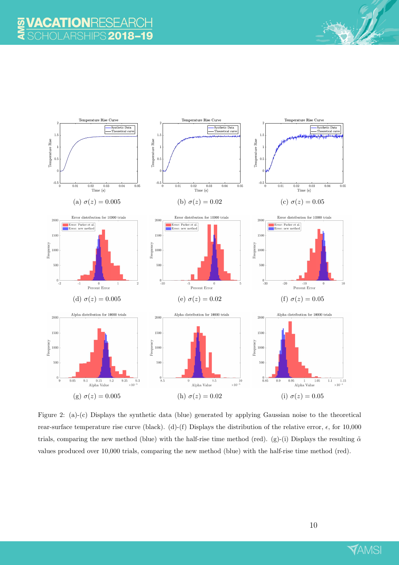<span id="page-10-0"></span>

Figure 2: (a)-(c) Displays the synthetic data (blue) generated by applying Gaussian noise to the theoretical rear-surface temperature rise curve (black). (d)-(f) Displays the distribution of the relative error,  $\epsilon$ , for 10,000 trials, comparing the new method (blue) with the half-rise time method (red). (g)-(i) Displays the resulting  $\tilde{\alpha}$ values produced over 10,000 trials, comparing the new method (blue) with the half-rise time method (red).

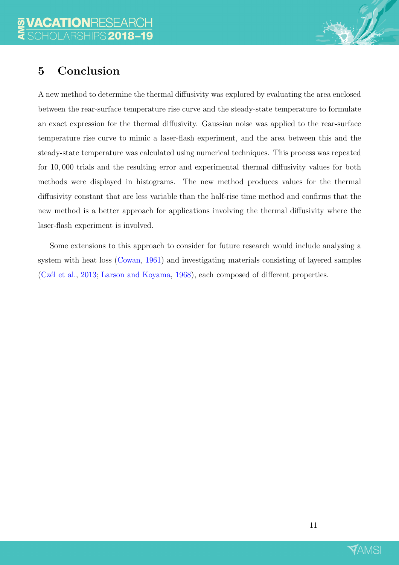## <span id="page-11-0"></span>5 Conclusion

A new method to determine the thermal diffusivity was explored by evaluating the area enclosed between the rear-surface temperature rise curve and the steady-state temperature to formulate an exact expression for the thermal diffusivity. Gaussian noise was applied to the rear-surface temperature rise curve to mimic a laser-flash experiment, and the area between this and the steady-state temperature was calculated using numerical techniques. This process was repeated for 10, 000 trials and the resulting error and experimental thermal diffusivity values for both methods were displayed in histograms. The new method produces values for the thermal diffusivity constant that are less variable than the half-rise time method and confirms that the new method is a better approach for applications involving the thermal diffusivity where the laser-flash experiment is involved.

Some extensions to this approach to consider for future research would include analysing a system with heat loss [\(Cowan,](#page-12-5) [1961](#page-12-5)) and investigating materials consisting of layered samples (Czél et al., [2013](#page-12-2); [Larson and Koyama](#page-12-6), [1968](#page-12-6)), each composed of different properties.